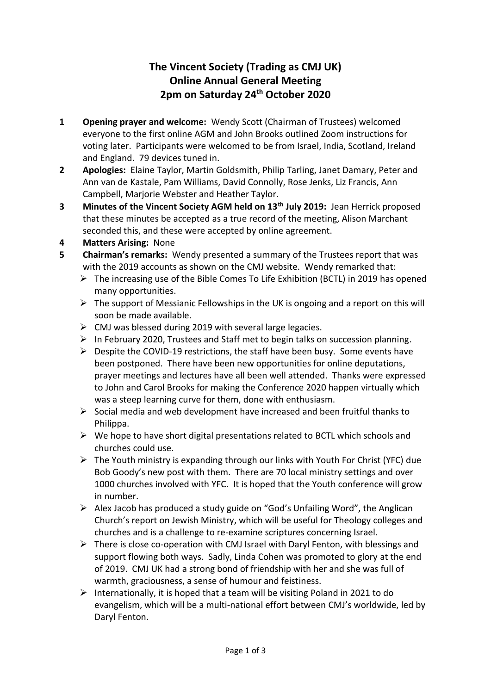## **The Vincent Society (Trading as CMJ UK) Online Annual General Meeting 2pm on Saturday 24th October 2020**

- **1 Opening prayer and welcome:** Wendy Scott (Chairman of Trustees) welcomed everyone to the first online AGM and John Brooks outlined Zoom instructions for voting later. Participants were welcomed to be from Israel, India, Scotland, Ireland and England. 79 devices tuned in.
- **2 Apologies:** Elaine Taylor, Martin Goldsmith, Philip Tarling, Janet Damary, Peter and Ann van de Kastale, Pam Williams, David Connolly, Rose Jenks, Liz Francis, Ann Campbell, Marjorie Webster and Heather Taylor.
- **3 Minutes of the Vincent Society AGM held on 13th July 2019:** Jean Herrick proposed that these minutes be accepted as a true record of the meeting, Alison Marchant seconded this, and these were accepted by online agreement.
- **4 Matters Arising:** None
- **5 Chairman's remarks:** Wendy presented a summary of the Trustees report that was with the 2019 accounts as shown on the CMJ website. Wendy remarked that:
	- $\triangleright$  The increasing use of the Bible Comes To Life Exhibition (BCTL) in 2019 has opened many opportunities.
	- $\triangleright$  The support of Messianic Fellowships in the UK is ongoing and a report on this will soon be made available.
	- $\triangleright$  CMJ was blessed during 2019 with several large legacies.
	- ➢ In February 2020, Trustees and Staff met to begin talks on succession planning.
	- $\triangleright$  Despite the COVID-19 restrictions, the staff have been busy. Some events have been postponed. There have been new opportunities for online deputations, prayer meetings and lectures have all been well attended. Thanks were expressed to John and Carol Brooks for making the Conference 2020 happen virtually which was a steep learning curve for them, done with enthusiasm.
	- $\triangleright$  Social media and web development have increased and been fruitful thanks to Philippa.
	- $\triangleright$  We hope to have short digital presentations related to BCTL which schools and churches could use.
	- $\triangleright$  The Youth ministry is expanding through our links with Youth For Christ (YFC) due Bob Goody's new post with them. There are 70 local ministry settings and over 1000 churches involved with YFC. It is hoped that the Youth conference will grow in number.
	- ➢ Alex Jacob has produced a study guide on "God's Unfailing Word", the Anglican Church's report on Jewish Ministry, which will be useful for Theology colleges and churches and is a challenge to re-examine scriptures concerning Israel.
	- $\triangleright$  There is close co-operation with CMJ Israel with Daryl Fenton, with blessings and support flowing both ways. Sadly, Linda Cohen was promoted to glory at the end of 2019. CMJ UK had a strong bond of friendship with her and she was full of warmth, graciousness, a sense of humour and feistiness.
	- $\triangleright$  Internationally, it is hoped that a team will be visiting Poland in 2021 to do evangelism, which will be a multi-national effort between CMJ's worldwide, led by Daryl Fenton.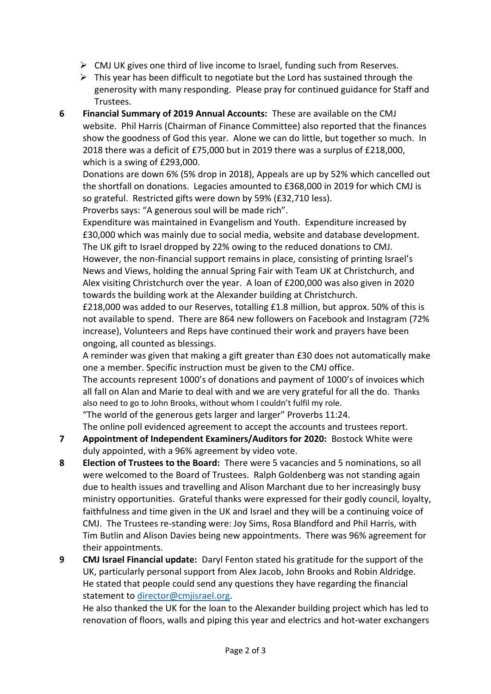- $\triangleright$  CMJ UK gives one third of live income to Israel, funding such from Reserves.
- $\triangleright$  This year has been difficult to negotiate but the Lord has sustained through the generosity with many responding. Please pray for continued guidance for Staff and Trustees.
- **6 Financial Summary of 2019 Annual Accounts:** These are available on the CMJ website. Phil Harris (Chairman of Finance Committee) also reported that the finances show the goodness of God this year. Alone we can do little, but together so much. In 2018 there was a deficit of £75,000 but in 2019 there was a surplus of £218,000, which is a swing of £293,000.

Donations are down 6% (5% drop in 2018), Appeals are up by 52% which cancelled out the shortfall on donations. Legacies amounted to £368,000 in 2019 for which CMJ is so grateful. Restricted gifts were down by 59% (£32,710 less).

Proverbs says: "A generous soul will be made rich".

Expenditure was maintained in Evangelism and Youth. Expenditure increased by £30,000 which was mainly due to social media, website and database development. The UK gift to Israel dropped by 22% owing to the reduced donations to CMJ.

However, the non-financial support remains in place, consisting of printing Israel's News and Views, holding the annual Spring Fair with Team UK at Christchurch, and Alex visiting Christchurch over the year. A loan of £200,000 was also given in 2020 towards the building work at the Alexander building at Christchurch.

£218,000 was added to our Reserves, totalling £1.8 million, but approx. 50% of this is not available to spend. There are 864 new followers on Facebook and Instagram (72% increase), Volunteers and Reps have continued their work and prayers have been ongoing, all counted as blessings.

A reminder was given that making a gift greater than £30 does not automatically make one a member. Specific instruction must be given to the CMJ office.

The accounts represent 1000's of donations and payment of 1000's of invoices which all fall on Alan and Marie to deal with and we are very grateful for all the do. Thanks also need to go to John Brooks, without whom I couldn't fulfil my role.

"The world of the generous gets larger and larger" Proverbs 11:24.

The online poll evidenced agreement to accept the accounts and trustees report.

- **7 Appointment of Independent Examiners/Auditors for 2020:** Bostock White were duly appointed, with a 96% agreement by video vote.
- **8 Election of Trustees to the Board:** There were 5 vacancies and 5 nominations, so all were welcomed to the Board of Trustees. Ralph Goldenberg was not standing again due to health issues and travelling and Alison Marchant due to her increasingly busy ministry opportunities. Grateful thanks were expressed for their godly council, loyalty, faithfulness and time given in the UK and Israel and they will be a continuing voice of CMJ. The Trustees re-standing were: Joy Sims, Rosa Blandford and Phil Harris, with Tim Butlin and Alison Davies being new appointments. There was 96% agreement for their appointments.
- **9 CMJ Israel Financial update:** Daryl Fenton stated his gratitude for the support of the UK, particularly personal support from Alex Jacob, John Brooks and Robin Aldridge. He stated that people could send any questions they have regarding the financial statement to [director@cmjisrael.org.](mailto:director@cmjisrael.org)

He also thanked the UK for the loan to the Alexander building project which has led to renovation of floors, walls and piping this year and electrics and hot-water exchangers